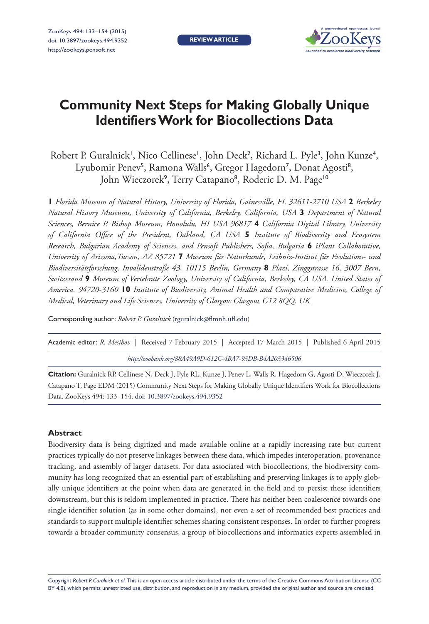**REVIEW ARTICLE**



# **Community Next Steps for Making Globally Unique Identifiers Work for Biocollections Data**

## Robert P. Guralnick<sup>1</sup>, Nico Cellinese<sup>1</sup>, John Deck<sup>2</sup>, Richard L. Pyle<sup>3</sup>, John Kunze<sup>4</sup>, Lyubomir Penev<sup>5</sup>, Ramona Walls<sup>6</sup>, Gregor Hagedorn<sup>7</sup>, Donat Agosti<sup>8</sup>, John Wieczorek<sup>9</sup>, Terry Catapano<sup>8</sup>, Roderic D. M. Page<sup>10</sup>

**1** *Florida Museum of Natural History, University of Florida, Gainesville, FL 32611-2710 USA* **2** *Berkeley Natural History Museums, University of California, Berkeley, California, USA* **3** *Department of Natural Sciences, Bernice P. Bishop Museum, Honolulu, HI USA 96817* **4** *California Digital Library, University of California Office of the President, Oakland, CA USA* **5** *Institute of Biodiversity and Ecosystem Research, Bulgarian Academy of Sciences, and Pensoft Publishers, Sofia, Bulgaria* **6** *iPlant Collaborative, University of Arizona,Tucson, AZ 85721* **7** *Museum für Naturkunde, Leibniz-Institut für Evolutions- und Biodiversitätsforschung, Invalidenstraße 43, 10115 Berlin, Germany* **8** *Plazi, Zinggstrasse 16, 3007 Bern, Switzerand* **9** *Museum of Vertebrate Zoology, University of California, Berkeley, CA USA. United States of America. 94720-3160* **10** *Institute of Biodiversity, Animal Health and Comparative Medicine, College of Medical, Veterinary and Life Sciences, University of Glasgow Glasgow, G12 8QQ. UK*

Corresponding author: *Robert P. Guralnick* ([rguralnick@flmnh.ufl.edu\)](mailto:rguralnick@flmnh.ufl.edu)

| Academic editor: R. Mesibov   Received 7 February 2015   Accepted 17 March 2015   Published 6 April 2015 |  |
|----------------------------------------------------------------------------------------------------------|--|
| http://zoobank.org/88A49A9D-612C-4BA7-93DB-B4A203346506                                                  |  |

**Citation:** Guralnick RP, Cellinese N, Deck J, Pyle RL, Kunze J, Penev L, Walls R, Hagedorn G, Agosti D, Wieczorek J, Catapano T, Page EDM (2015) Community Next Steps for Making Globally Unique Identifiers Work for Biocollections Data. ZooKeys 494: 133–154. [doi: 10.3897/zookeys.494.9352](http://dx.doi.org/10.3897/zookeys.494.9352)

#### **Abstract**

Biodiversity data is being digitized and made available online at a rapidly increasing rate but current practices typically do not preserve linkages between these data, which impedes interoperation, provenance tracking, and assembly of larger datasets. For data associated with biocollections, the biodiversity community has long recognized that an essential part of establishing and preserving linkages is to apply globally unique identifiers at the point when data are generated in the field and to persist these identifiers downstream, but this is seldom implemented in practice. There has neither been coalescence towards one single identifier solution (as in some other domains), nor even a set of recommended best practices and standards to support multiple identifier schemes sharing consistent responses. In order to further progress towards a broader community consensus, a group of biocollections and informatics experts assembled in

Copyright *Robert P. Guralnick et al.* This is an open access article distributed under the terms of the [Creative Commons Attribution License \(CC](http://creativecommons.org/licenses/by/4.0/)  [BY 4.0\)](http://creativecommons.org/licenses/by/4.0/), which permits unrestricted use, distribution, and reproduction in any medium, provided the original author and source are credited.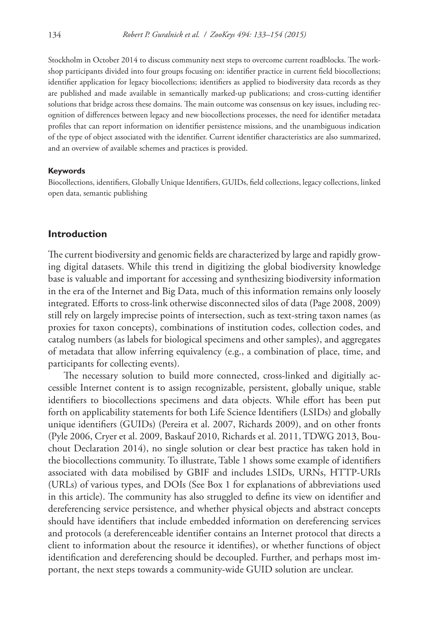Stockholm in October 2014 to discuss community next steps to overcome current roadblocks. The workshop participants divided into four groups focusing on: identifier practice in current field biocollections; identifier application for legacy biocollections; identifiers as applied to biodiversity data records as they are published and made available in semantically marked-up publications; and cross-cutting identifier solutions that bridge across these domains. The main outcome was consensus on key issues, including recognition of differences between legacy and new biocollections processes, the need for identifier metadata profiles that can report information on identifier persistence missions, and the unambiguous indication of the type of object associated with the identifier. Current identifier characteristics are also summarized, and an overview of available schemes and practices is provided.

#### **Keywords**

Biocollections, identifiers, Globally Unique Identifiers, GUIDs, field collections, legacy collections, linked open data, semantic publishing

#### **Introduction**

The current biodiversity and genomic fields are characterized by large and rapidly growing digital datasets. While this trend in digitizing the global biodiversity knowledge base is valuable and important for accessing and synthesizing biodiversity information in the era of the Internet and Big Data, much of this information remains only loosely integrated. Efforts to cross-link otherwise disconnected silos of data (Page 2008, 2009) still rely on largely imprecise points of intersection, such as text-string taxon names (as proxies for taxon concepts), combinations of institution codes, collection codes, and catalog numbers (as labels for biological specimens and other samples), and aggregates of metadata that allow inferring equivalency (e.g., a combination of place, time, and participants for collecting events).

The necessary solution to build more connected, cross-linked and digitially accessible Internet content is to assign recognizable, persistent, globally unique, stable identifiers to biocollections specimens and data objects. While effort has been put forth on applicability statements for both Life Science Identifiers (LSIDs) and globally unique identifiers (GUIDs) (Pereira et al. 2007, Richards 2009), and on other fronts (Pyle 2006, Cryer et al. 2009, Baskauf 2010, Richards et al. 2011, TDWG 2013, Bouchout Declaration 2014), no single solution or clear best practice has taken hold in the biocollections community. To illustrate, Table 1 shows some example of identifiers associated with data mobilised by GBIF and includes LSIDs, URNs, HTTP-URIs (URLs) of various types, and DOIs (See Box 1 for explanations of abbreviations used in this article). The community has also struggled to define its view on identifier and dereferencing service persistence, and whether physical objects and abstract concepts should have identifiers that include embedded information on dereferencing services and protocols (a dereferenceable identifier contains an Internet protocol that directs a client to information about the resource it identifies), or whether functions of object identification and dereferencing should be decoupled. Further, and perhaps most important, the next steps towards a community-wide GUID solution are unclear.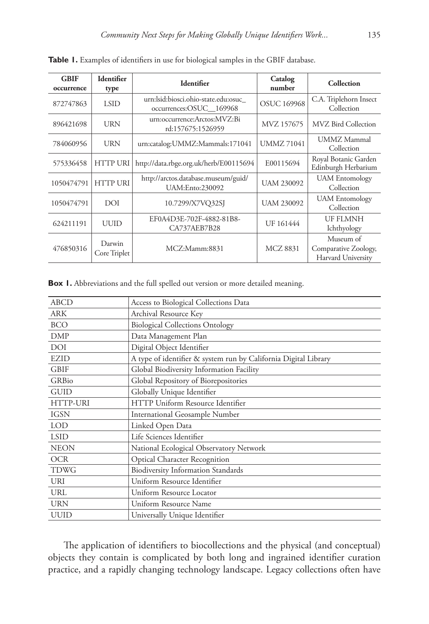| <b>GBIF</b><br>occurrence | <b>Identifier</b><br>type                                          | <b>Identifier</b>                                                                     | Catalog<br>number         | Collection                                              |
|---------------------------|--------------------------------------------------------------------|---------------------------------------------------------------------------------------|---------------------------|---------------------------------------------------------|
| 872747863                 | <b>LSID</b>                                                        | urn:lsid:biosci.ohio-state.edu:osuc<br><b>OSUC 169968</b><br>occurrences: OSUC_169968 |                           | C.A. Triplehorn Insect<br>Collection                    |
| 896421698                 | <b>URN</b>                                                         | urn:occurrence:Arctos:MVZ:Bi<br>rd:157675:1526959                                     | MVZ 157675                | MVZ Bird Collection                                     |
| 784060956                 | <b>UMMZ 71041</b><br><b>URN</b><br>urn:catalog:UMMZ:Mammals:171041 |                                                                                       | UMMZ Mammal<br>Collection |                                                         |
| 575336458                 | <b>HTTP URI</b>                                                    | http://data.rbge.org.uk/herb/E00115694                                                | E00115694                 | Royal Botanic Garden<br>Edinburgh Herbarium             |
| 1050474791                | <b>HTTP URI</b>                                                    | http://arctos.database.museum/guid/<br>UAM:Ento:230092                                | <b>UAM 230092</b>         | <b>UAM</b> Entomology<br>Collection                     |
| 1050474791                | DOI                                                                | 10.7299/X7VQ32SJ                                                                      | <b>UAM 230092</b>         | <b>UAM</b> Entomology<br>Collection                     |
| 624211191                 | <b>UUID</b>                                                        | EF0A4D3E-702F-4882-81B8-<br>CA737AEB7B28                                              | UF 161444                 | <b>UF FLMNH</b><br>Ichthyology                          |
| 476850316                 | Darwin<br>Core Triplet                                             | MCZ:Mamm:8831                                                                         | <b>MCZ 8831</b>           | Museum of<br>Comparative Zoology,<br>Harvard University |

**Table 1.** Examples of identifiers in use for biological samples in the GBIF database.

Box 1. Abbreviations and the full spelled out version or more detailed meaning.

| <b>ABCD</b>     | Access to Biological Collections Data                           |
|-----------------|-----------------------------------------------------------------|
| <b>ARK</b>      | Archival Resource Key                                           |
| <b>BCO</b>      | <b>Biological Collections Ontology</b>                          |
| DMP             | Data Management Plan                                            |
| DOI             | Digital Object Identifier                                       |
| EZID            | A type of identifier & system run by California Digital Library |
| <b>GBIF</b>     | Global Biodiversity Information Facility                        |
| <b>GRBio</b>    | Global Repository of Biorepositories                            |
| <b>GUID</b>     | Globally Unique Identifier                                      |
| <b>HTTP-URI</b> | HTTP Uniform Resource Identifier                                |
| <b>IGSN</b>     | <b>International Geosample Number</b>                           |
| <b>LOD</b>      | Linked Open Data                                                |
| <b>LSID</b>     | Life Sciences Identifier                                        |
| <b>NEON</b>     | National Ecological Observatory Network                         |
| <b>OCR</b>      | <b>Optical Character Recognition</b>                            |
| <b>TDWG</b>     | <b>Biodiversity Information Standards</b>                       |
| URI             | Uniform Resource Identifier                                     |
| URL             | Uniform Resource Locator                                        |
| <b>URN</b>      | Uniform Resource Name                                           |
| <b>UUID</b>     | Universally Unique Identifier                                   |

The application of identifiers to biocollections and the physical (and conceptual) objects they contain is complicated by both long and ingrained identifier curation practice, and a rapidly changing technology landscape. Legacy collections often have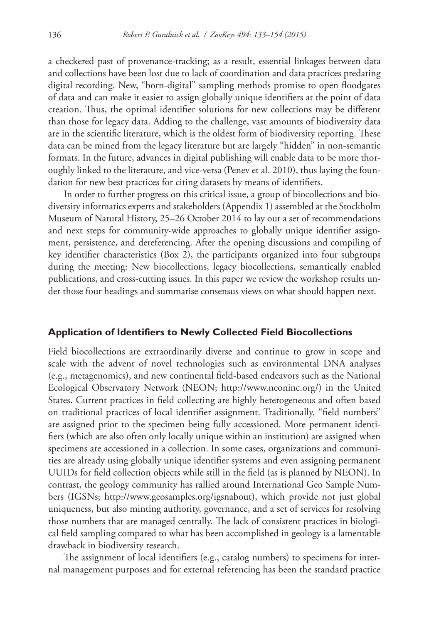a checkered past of provenance-tracking; as a result, essential linkages between data and collections have been lost due to lack of coordination and data practices predating digital recording. New, "born-digital" sampling methods promise to open floodgates of data and can make it easier to assign globally unique identifiers at the point of data creation. Thus, the optimal identifier solutions for new collections may be different than those for legacy data. Adding to the challenge, vast amounts of biodiversity data are in the scientific literature, which is the oldest form of biodiversity reporting. These data can be mined from the legacy literature but are largely "hidden" in non-semantic formats. In the future, advances in digital publishing will enable data to be more thoroughly linked to the literature, and vice-versa (Penev et al. 2010), thus laying the foundation for new best practices for citing datasets by means of identifiers.

In order to further progress on this critical issue, a group of biocollections and biodiversity informatics experts and stakeholders (Appendix 1) assembled at the Stockholm Museum of Natural History, 25–26 October 2014 to lay out a set of recommendations and next steps for community-wide approaches to globally unique identifier assignment, persistence, and dereferencing. After the opening discussions and compiling of key identifier characteristics (Box 2), the participants organized into four subgroups during the meeting: New biocollections, legacy biocollections, semantically enabled publications, and cross-cutting issues. In this paper we review the workshop results under those four headings and summarise consensus views on what should happen next.

#### **Application of Identifiers to Newly Collected Field Biocollections**

Field biocollections are extraordinarily diverse and continue to grow in scope and scale with the advent of novel technologies such as environmental DNA analyses (e.g., metagenomics), and new continental field-based endeavors such as the National Ecological Observatory Network (NEON; <http://www.neoninc.org/>) in the United States. Current practices in field collecting are highly heterogeneous and often based on traditional practices of local identifier assignment. Traditionally, "field numbers" are assigned prior to the specimen being fully accessioned. More permanent identifiers (which are also often only locally unique within an institution) are assigned when specimens are accessioned in a collection. In some cases, organizations and communities are already using globally unique identifier systems and even assigning permanent UUIDs for field collection objects while still in the field (as is planned by NEON). In contrast, the geology community has rallied around International Geo Sample Numbers (IGSNs; [http://www.geosamples.org/igsnabout\)](http://www.geosamples.org/igsnabout), which provide not just global uniqueness, but also minting authority, governance, and a set of services for resolving those numbers that are managed centrally. The lack of consistent practices in biological field sampling compared to what has been accomplished in geology is a lamentable drawback in biodiversity research.

The assignment of local identifiers (e.g., catalog numbers) to specimens for internal management purposes and for external referencing has been the standard practice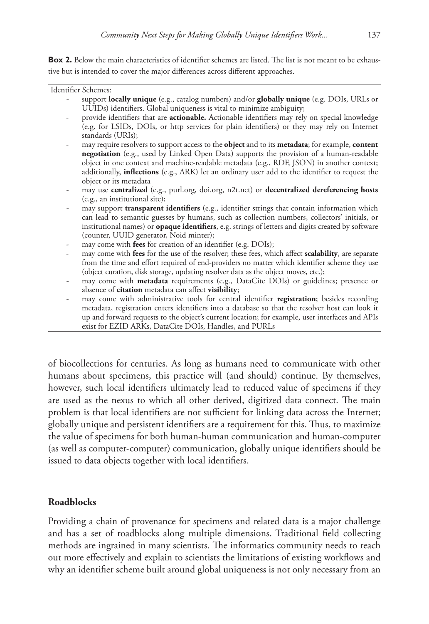**Box 2.** Below the main characteristics of identifier schemes are listed. The list is not meant to be exhaustive but is intended to cover the major differences across different approaches.

|                          | Identifier Schemes:                                                                                                                                                                                                                                                                                                                                                                                                                               |
|--------------------------|---------------------------------------------------------------------------------------------------------------------------------------------------------------------------------------------------------------------------------------------------------------------------------------------------------------------------------------------------------------------------------------------------------------------------------------------------|
|                          | support <b>locally unique</b> (e.g., catalog numbers) and/or <b>globally unique</b> (e.g. DOIs, URLs or<br>UUIDs) identifiers. Global uniqueness is vital to minimize ambiguity;                                                                                                                                                                                                                                                                  |
| $\overline{\phantom{a}}$ | provide identifiers that are <b>actionable.</b> Actionable identifiers may rely on special knowledge<br>(e.g. for LSIDs, DOIs, or http services for plain identifiers) or they may rely on Internet<br>standards (URIs);                                                                                                                                                                                                                          |
| $\overline{\phantom{a}}$ | may require resolvers to support access to the <b>object</b> and to its <b>metadata</b> ; for example, <b>content</b><br>negotiation (e.g., used by Linked Open Data) supports the provision of a human-readable<br>object in one context and machine-readable metadata (e.g., RDF, JSON) in another context;<br>additionally, <i>inflections</i> (e.g., ARK) let an ordinary user add to the identifier to request the<br>object or its metadata |
|                          | may use centralized (e.g., purl.org, doi.org, n2t.net) or decentralized dereferencing hosts<br>(e.g., an institutional site);                                                                                                                                                                                                                                                                                                                     |
|                          | may support <b>transparent identifiers</b> (e.g., identifier strings that contain information which<br>can lead to semantic guesses by humans, such as collection numbers, collectors' initials, or<br>institutional names) or <b>opaque identifiers</b> , e.g. strings of letters and digits created by software<br>(counter, UUID generator, Noid minter);                                                                                      |
|                          | may come with fees for creation of an identifier (e.g. DOIs);                                                                                                                                                                                                                                                                                                                                                                                     |
|                          | may come with fees for the use of the resolver; these fees, which affect scalability, are separate<br>from the time and effort required of end-providers no matter which identifier scheme they use<br>(object curation, disk storage, updating resolver data as the object moves, etc.);                                                                                                                                                         |
|                          | may come with metadata requirements (e.g., DataCite DOIs) or guidelines; presence or<br>absence of citation metadata can affect visibility;                                                                                                                                                                                                                                                                                                       |
| $\overline{\phantom{a}}$ | may come with administrative tools for central identifier registration; besides recording                                                                                                                                                                                                                                                                                                                                                         |
|                          | metadata, registration enters identifiers into a database so that the resolver host can look it                                                                                                                                                                                                                                                                                                                                                   |
|                          | up and forward requests to the object's current location; for example, user interfaces and APIs<br>exist for EZID ARKs, DataCite DOIs, Handles, and PURLs                                                                                                                                                                                                                                                                                         |
|                          |                                                                                                                                                                                                                                                                                                                                                                                                                                                   |

of biocollections for centuries. As long as humans need to communicate with other humans about specimens, this practice will (and should) continue. By themselves, however, such local identifiers ultimately lead to reduced value of specimens if they are used as the nexus to which all other derived, digitized data connect. The main problem is that local identifiers are not sufficient for linking data across the Internet; globally unique and persistent identifiers are a requirement for this. Thus, to maximize the value of specimens for both human-human communication and human-computer (as well as computer-computer) communication, globally unique identifiers should be issued to data objects together with local identifiers.

### **Roadblocks**

Providing a chain of provenance for specimens and related data is a major challenge and has a set of roadblocks along multiple dimensions. Traditional field collecting methods are ingrained in many scientists. The informatics community needs to reach out more effectively and explain to scientists the limitations of existing workflows and why an identifier scheme built around global uniqueness is not only necessary from an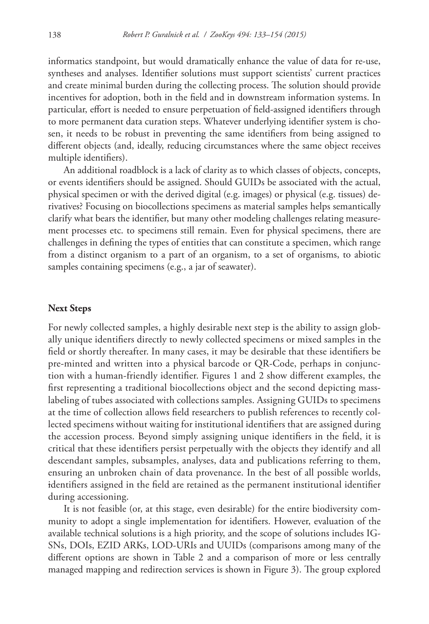informatics standpoint, but would dramatically enhance the value of data for re-use, syntheses and analyses. Identifier solutions must support scientists' current practices and create minimal burden during the collecting process. The solution should provide incentives for adoption, both in the field and in downstream information systems. In particular, effort is needed to ensure perpetuation of field-assigned identifiers through to more permanent data curation steps. Whatever underlying identifier system is chosen, it needs to be robust in preventing the same identifiers from being assigned to different objects (and, ideally, reducing circumstances where the same object receives multiple identifiers).

An additional roadblock is a lack of clarity as to which classes of objects, concepts, or events identifiers should be assigned. Should GUIDs be associated with the actual, physical specimen or with the derived digital (e.g. images) or physical (e.g. tissues) derivatives? Focusing on biocollections specimens as material samples helps semantically clarify what bears the identifier, but many other modeling challenges relating measurement processes etc. to specimens still remain. Even for physical specimens, there are challenges in defining the types of entities that can constitute a specimen, which range from a distinct organism to a part of an organism, to a set of organisms, to abiotic samples containing specimens (e.g., a jar of seawater).

#### **Next Steps**

For newly collected samples, a highly desirable next step is the ability to assign globally unique identifiers directly to newly collected specimens or mixed samples in the field or shortly thereafter. In many cases, it may be desirable that these identifiers be pre-minted and written into a physical barcode or QR-Code, perhaps in conjunction with a human-friendly identifier. Figures 1 and 2 show different examples, the first representing a traditional biocollections object and the second depicting masslabeling of tubes associated with collections samples. Assigning GUIDs to specimens at the time of collection allows field researchers to publish references to recently collected specimens without waiting for institutional identifiers that are assigned during the accession process. Beyond simply assigning unique identifiers in the field, it is critical that these identifiers persist perpetually with the objects they identify and all descendant samples, subsamples, analyses, data and publications referring to them, ensuring an unbroken chain of data provenance. In the best of all possible worlds, identifiers assigned in the field are retained as the permanent institutional identifier during accessioning.

It is not feasible (or, at this stage, even desirable) for the entire biodiversity community to adopt a single implementation for identifiers. However, evaluation of the available technical solutions is a high priority, and the scope of solutions includes IG-SNs, DOIs, EZID ARKs, LOD-URIs and UUIDs (comparisons among many of the different options are shown in Table 2 and a comparison of more or less centrally managed mapping and redirection services is shown in Figure 3). The group explored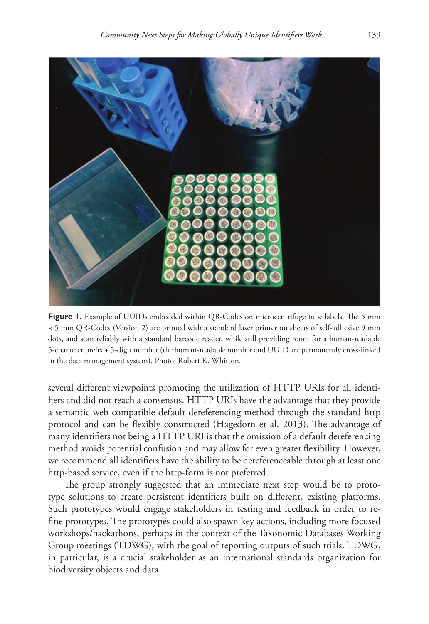

**Figure 1.** Example of UUIDs embedded within QR-Codes on microcentrifuge tube labels. The 5 mm × 5 mm QR-Codes (Version 2) are printed with a standard laser printer on sheets of self-adhesive 9 mm dots, and scan reliably with a standard barcode reader, while still providing room for a human-readable 5-character prefix + 5-digit number (the human-readable number and UUID are permanently cross-linked in the data management system). Photo: Robert K. Whitton.

several different viewpoints promoting the utilization of HTTP URIs for all identifiers and did not reach a consensus. HTTP URIs have the advantage that they provide a semantic web compatible default dereferencing method through the standard http protocol and can be flexibly constructed (Hagedorn et al. 2013). The advantage of many identifiers not being a HTTP URI is that the omission of a default dereferencing method avoids potential confusion and may allow for even greater flexibility. However, we recommend all identifiers have the ability to be dereferenceable through at least one http-based service, even if the http-form is not preferred.

The group strongly suggested that an immediate next step would be to prototype solutions to create persistent identifiers built on different, existing platforms. Such prototypes would engage stakeholders in testing and feedback in order to refine prototypes. The prototypes could also spawn key actions, including more focused workshops/hackathons, perhaps in the context of the Taxonomic Databases Working Group meetings (TDWG), with the goal of reporting outputs of such trials. TDWG, in particular, is a crucial stakeholder as an international standards organization for biodiversity objects and data.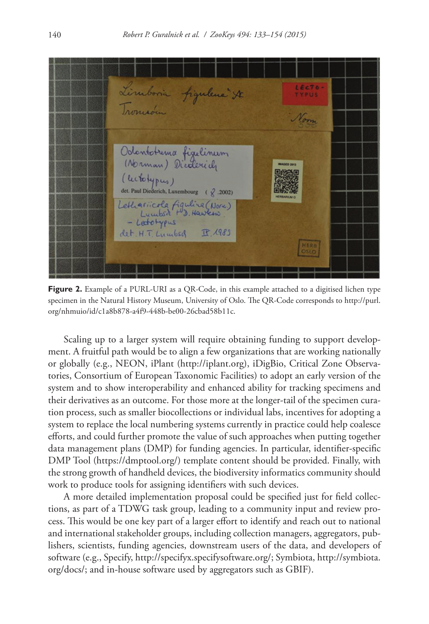Limboria figulene" A  $ECTO$ Tromsom Vom Odontotrema figulinum (Norman) Diederich (lectolypus) det. Paul Diederich, Luxembourg ( $\sqrt{2}$ .2002) Letharicola figulina (None)<br>Lumbor PD. Hawken - Letotypus  $I$  $R$ ,  $1983$ det. H.T. Lumbsof

**Figure 2.** Example of a PURL-URI as a QR-Code, in this example attached to a digitised lichen type specimen in the Natural History Museum, University of Oslo. The QR-Code corresponds to [http://purl.](http://purl.org/nhmuio/id/c1a8b878-a4f9-448b-be00-26cbad58b11c) [org/nhmuio/id/c1a8b878-a4f9-448b-be00-26cbad58b11c.](http://purl.org/nhmuio/id/c1a8b878-a4f9-448b-be00-26cbad58b11c)

Scaling up to a larger system will require obtaining funding to support development. A fruitful path would be to align a few organizations that are working nationally or globally (e.g., NEON, iPlant ([http://iplant.org\)](http://iplant.org), iDigBio, Critical Zone Observatories, Consortium of European Taxonomic Facilities) to adopt an early version of the system and to show interoperability and enhanced ability for tracking specimens and their derivatives as an outcome. For those more at the longer-tail of the specimen curation process, such as smaller biocollections or individual labs, incentives for adopting a system to replace the local numbering systems currently in practice could help coalesce efforts, and could further promote the value of such approaches when putting together data management plans (DMP) for funding agencies. In particular, identifier-specific DMP Tool [\(https://dmptool.org/\)](https://dmptool.org/) template content should be provided. Finally, with the strong growth of handheld devices, the biodiversity informatics community should work to produce tools for assigning identifiers with such devices.

A more detailed implementation proposal could be specified just for field collections, as part of a TDWG task group, leading to a community input and review process. This would be one key part of a larger effort to identify and reach out to national and international stakeholder groups, including collection managers, aggregators, publishers, scientists, funding agencies, downstream users of the data, and developers of software (e.g., Specify, [http://specifyx.specifysoftware.org/;](http://specifyx.specifysoftware.org/) Symbiota, [http://symbiota.](http://symbiota.org/docs/) [org/docs/](http://symbiota.org/docs/); and in-house software used by aggregators such as GBIF).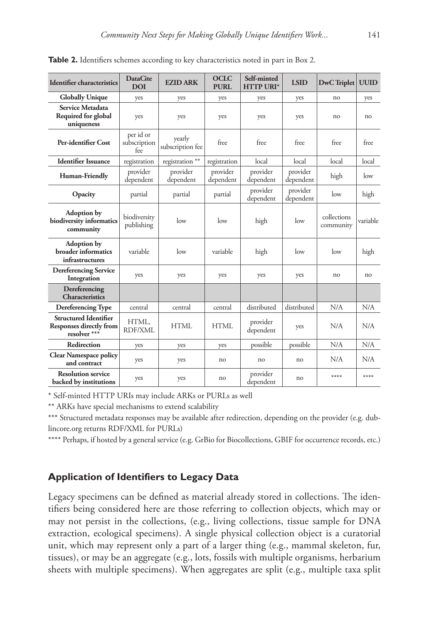| <b>Identifier characteristics</b>                                                         | <b>DataCite</b><br><b>DOI</b>     | <b>EZID ARK</b>            | <b>OCLC</b><br><b>PURL</b> | Self-minted<br><b>HTTP URI*</b> | <b>LSID</b>           | $DwC$ Triplet            | <b>UUID</b> |
|-------------------------------------------------------------------------------------------|-----------------------------------|----------------------------|----------------------------|---------------------------------|-----------------------|--------------------------|-------------|
| <b>Globally Unique</b>                                                                    | yes                               | yes                        | yes                        | yes                             | yes                   | no                       | yes         |
| Service Metadata<br>Required for global<br>uniqueness                                     | yes                               | yes                        | yes                        | yes                             | yes                   | no                       | no          |
| Per-identifier Cost                                                                       | per id or<br>subscription<br>fee. | yearly<br>subscription fee | free                       | <i>free</i>                     | free                  | free.                    | <i>free</i> |
| <b>Identifier Issuance</b>                                                                | registration                      | registration **            | registration               | local                           | local                 | local                    | local       |
| Human-Friendly                                                                            | provider<br>dependent             | provider<br>dependent      | provider<br>dependent      | provider<br>dependent           | provider<br>dependent | high                     | $\log$      |
| Opacity                                                                                   | partial                           | partial                    | partial                    | provider<br>dependent           | provider<br>dependent | low                      | high        |
| <b>Adoption</b> by<br>biodiversity informatics<br>community                               | biodiversity<br>publishing        | low                        | $\log$                     | high                            | low                   | collections<br>community | variable    |
| <b>Adoption</b> by<br>broader informatics<br><i>infrastructures</i>                       | variable                          | $_{\text{low}}$            | variable                   | high                            | $\log$                | low                      | high        |
| <b>Dereferencing Service</b><br>Integration                                               | yes                               | yes                        | yes                        | yes                             | yes                   | no                       | no          |
| Dereferencing<br><b>Characteristics</b>                                                   |                                   |                            |                            |                                 |                       |                          |             |
| <b>Dereferencing Type</b>                                                                 | central                           | central                    | central                    | distributed                     | distributed           | N/A                      | N/A         |
| <b>Structured Identifier</b><br><b>Responses directly from</b><br>resolver <sup>***</sup> | HTML.<br><b>RDF/XML</b>           | HTML                       | HTML                       | provider<br>dependent           | yes                   | N/A                      | N/A         |
| Redirection                                                                               | yes                               | yes                        | yes                        | possible                        | possible              | N/A                      | N/A         |
| <b>Clear Namespace policy</b><br>and contract                                             | yes                               | yes                        | no                         | no                              | no                    | N/A                      | N/A         |
| <b>Resolution service</b><br>backed by institutions                                       | yes                               | yes                        | no                         | provider<br>dependent           | no                    | ****                     | ****        |

Table 2. Identifiers schemes according to key characteristics noted in part in Box 2.

\* Self-minted HTTP URIs may include ARKs or PURLs as well

\*\* ARKs have special mechanisms to extend scalability

\*\*\* Structured metadata responses may be available after redirection, depending on the provider (e.g. dublincore.org returns RDF/XML for PURLs)

\*\*\*\* Perhaps, if hosted by a general service (e.g. GrBio for Biocollections, GBIF for occurrence records, etc.)

### **Application of Identifiers to Legacy Data**

Legacy specimens can be defined as material already stored in collections. The identifiers being considered here are those referring to collection objects, which may or may not persist in the collections, (e.g., living collections, tissue sample for DNA extraction, ecological specimens). A single physical collection object is a curatorial unit, which may represent only a part of a larger thing (e.g., mammal skeleton, fur, tissues), or may be an aggregate (e.g., lots, fossils with multiple organisms, herbarium sheets with multiple specimens). When aggregates are split (e.g., multiple taxa split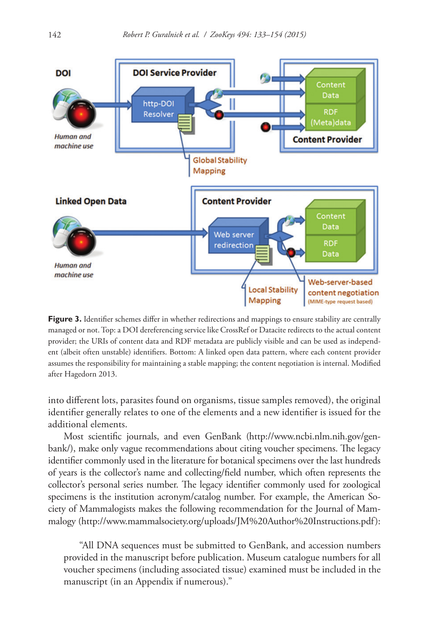

**Figure 3.** Identifier schemes differ in whether redirections and mappings to ensure stability are centrally managed or not. Top: a DOI dereferencing service like CrossRef or Datacite redirects to the actual content provider; the URIs of content data and RDF metadata are publicly visible and can be used as independent (albeit often unstable) identifiers. Bottom: A linked open data pattern, where each content provider assumes the responsibility for maintaining a stable mapping; the content negotiation is internal. Modified after Hagedorn 2013.

into different lots, parasites found on organisms, tissue samples removed), the original identifier generally relates to one of the elements and a new identifier is issued for the additional elements.

Most scientific journals, and even GenBank [\(http://www.ncbi.nlm.nih.gov/gen](http://www.ncbi.nlm.nih.gov/genbank/)[bank/\)](http://www.ncbi.nlm.nih.gov/genbank/), make only vague recommendations about citing voucher specimens. The legacy identifier commonly used in the literature for botanical specimens over the last hundreds of years is the collector's name and collecting/field number, which often represents the collector's personal series number. The legacy identifier commonly used for zoological specimens is the institution acronym/catalog number. For example, the American Society of Mammalogists makes the following recommendation for the Journal of Mammalogy (<http://www.mammalsociety.org/uploads/JM%20Author%20Instructions.pdf>):

"All DNA sequences must be submitted to GenBank, and accession numbers provided in the manuscript before publication. Museum catalogue numbers for all voucher specimens (including associated tissue) examined must be included in the manuscript (in an Appendix if numerous)."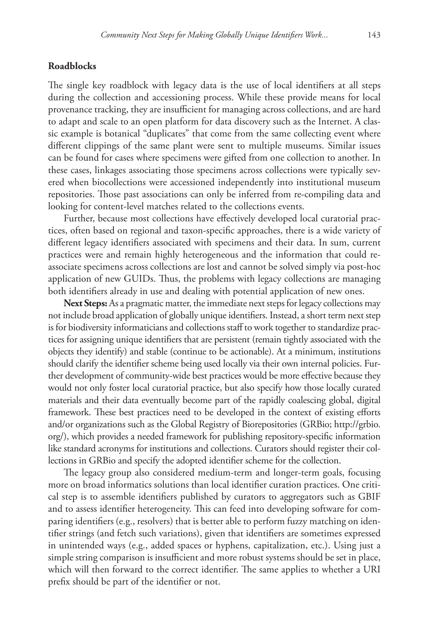### **Roadblocks**

The single key roadblock with legacy data is the use of local identifiers at all steps during the collection and accessioning process. While these provide means for local provenance tracking, they are insufficient for managing across collections, and are hard to adapt and scale to an open platform for data discovery such as the Internet. A classic example is botanical "duplicates" that come from the same collecting event where different clippings of the same plant were sent to multiple museums. Similar issues can be found for cases where specimens were gifted from one collection to another. In these cases, linkages associating those specimens across collections were typically severed when biocollections were accessioned independently into institutional museum repositories. Those past associations can only be inferred from re-compiling data and looking for content-level matches related to the collections events.

Further, because most collections have effectively developed local curatorial practices, often based on regional and taxon-specific approaches, there is a wide variety of different legacy identifiers associated with specimens and their data. In sum, current practices were and remain highly heterogeneous and the information that could reassociate specimens across collections are lost and cannot be solved simply via post-hoc application of new GUIDs. Thus, the problems with legacy collections are managing both identifiers already in use and dealing with potential application of new ones.

**Next Steps:** As a pragmatic matter, the immediate next steps for legacy collections may not include broad application of globally unique identifiers. Instead, a short term next step is for biodiversity informaticians and collections staff to work together to standardize practices for assigning unique identifiers that are persistent (remain tightly associated with the objects they identify) and stable (continue to be actionable). At a minimum, institutions should clarify the identifier scheme being used locally via their own internal policies. Further development of community-wide best practices would be more effective because they would not only foster local curatorial practice, but also specify how those locally curated materials and their data eventually become part of the rapidly coalescing global, digital framework. These best practices need to be developed in the context of existing efforts and/or organizations such as the Global Registry of Biorepositories (GRBio; [http://grbio.](http://grbio.org/) [org/](http://grbio.org/)), which provides a needed framework for publishing repository-specific information like standard acronyms for institutions and collections. Curators should register their collections in GRBio and specify the adopted identifier scheme for the collection.

The legacy group also considered medium-term and longer-term goals, focusing more on broad informatics solutions than local identifier curation practices. One critical step is to assemble identifiers published by curators to aggregators such as GBIF and to assess identifier heterogeneity. This can feed into developing software for comparing identifiers (e.g., resolvers) that is better able to perform fuzzy matching on identifier strings (and fetch such variations), given that identifiers are sometimes expressed in unintended ways (e.g., added spaces or hyphens, capitalization, etc.). Using just a simple string comparison is insufficient and more robust systems should be set in place, which will then forward to the correct identifier. The same applies to whether a URI prefix should be part of the identifier or not.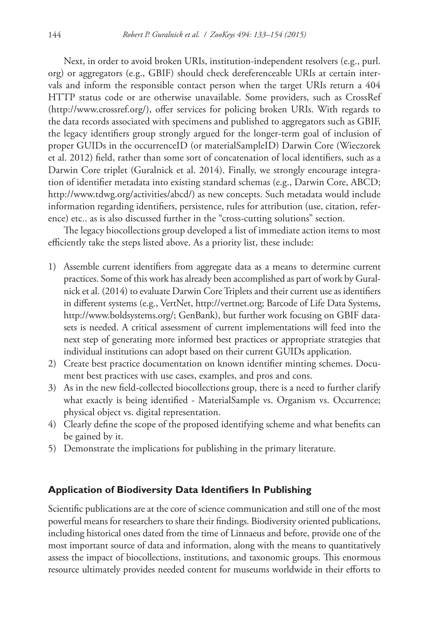Next, in order to avoid broken URIs, institution-independent resolvers (e.g., [purl.](http://purl.org) [org](http://purl.org)) or aggregators (e.g., GBIF) should check dereferenceable URIs at certain intervals and inform the responsible contact person when the target URIs return a 404 HTTP status code or are otherwise unavailable. Some providers, such as CrossRef (<http://www.crossref.org/>), offer services for policing broken URIs. With regards to the data records associated with specimens and published to aggregators such as GBIF, the legacy identifiers group strongly argued for the longer-term goal of inclusion of proper GUIDs in the occurrenceID (or materialSampleID) Darwin Core (Wieczorek et al. 2012) field, rather than some sort of concatenation of local identifiers, such as a Darwin Core triplet (Guralnick et al. 2014). Finally, we strongly encourage integration of identifier metadata into existing standard schemas (e.g., Darwin Core, ABCD; <http://www.tdwg.org/activities/abcd/>) as new concepts. Such metadata would include information regarding identifiers, persistence, rules for attribution (use, citation, reference) etc.. as is also discussed further in the "cross-cutting solutions" section.

The legacy biocollections group developed a list of immediate action items to most efficiently take the steps listed above. As a priority list, these include:

- 1) Assemble current identifiers from aggregate data as a means to determine current practices. Some of this work has already been accomplished as part of work by Guralnick et al. (2014) to evaluate Darwin Core Triplets and their current use as identifiers in different systems (e.g., VertNet, [http://vertnet.org;](http://vertnet.org) Barcode of Life Data Systems, <http://www.boldsystems.org/>; GenBank), but further work focusing on GBIF datasets is needed. A critical assessment of current implementations will feed into the next step of generating more informed best practices or appropriate strategies that individual institutions can adopt based on their current GUIDs application.
- 2) Create best practice documentation on known identifier minting schemes. Document best practices with use cases, examples, and pros and cons.
- 3) As in the new field-collected biocollections group, there is a need to further clarify what exactly is being identified - MaterialSample vs. Organism vs. Occurrence; physical object vs. digital representation.
- 4) Clearly define the scope of the proposed identifying scheme and what benefits can be gained by it.
- 5) Demonstrate the implications for publishing in the primary literature.

#### **Application of Biodiversity Data Identifiers In Publishing**

Scientific publications are at the core of science communication and still one of the most powerful means for researchers to share their findings. Biodiversity oriented publications, including historical ones dated from the time of Linnaeus and before, provide one of the most important source of data and information, along with the means to quantitatively assess the impact of biocollections, institutions, and taxonomic groups. This enormous resource ultimately provides needed content for museums worldwide in their efforts to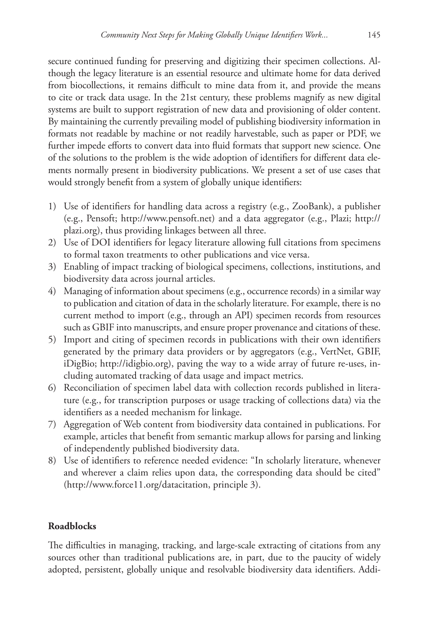secure continued funding for preserving and digitizing their specimen collections. Although the legacy literature is an essential resource and ultimate home for data derived from biocollections, it remains difficult to mine data from it, and provide the means to cite or track data usage. In the 21st century, these problems magnify as new digital systems are built to support registration of new data and provisioning of older content. By maintaining the currently prevailing model of publishing biodiversity information in formats not readable by machine or not readily harvestable, such as paper or PDF, we further impede efforts to convert data into fluid formats that support new science. One of the solutions to the problem is the wide adoption of identifiers for different data elements normally present in biodiversity publications. We present a set of use cases that would strongly benefit from a system of globally unique identifiers:

- 1) Use of identifiers for handling data across a registry (e.g., ZooBank), a publisher (e.g., Pensoft; <http://www.pensoft.net>) and a data aggregator (e.g., Plazi; [http://](http://plazi.org) [plazi.org\)](http://plazi.org), thus providing linkages between all three.
- 2) Use of DOI identifiers for legacy literature allowing full citations from specimens to formal taxon treatments to other publications and vice versa.
- 3) Enabling of impact tracking of biological specimens, collections, institutions, and biodiversity data across journal articles.
- 4) Managing of information about specimens (e.g., occurrence records) in a similar way to publication and citation of data in the scholarly literature. For example, there is no current method to import (e.g., through an API) specimen records from resources such as GBIF into manuscripts, and ensure proper provenance and citations of these.
- 5) Import and citing of specimen records in publications with their own identifiers generated by the primary data providers or by aggregators (e.g., VertNet, GBIF, iDigBio; <http://idigbio.org>), paving the way to a wide array of future re-uses, including automated tracking of data usage and impact metrics.
- 6) Reconciliation of specimen label data with collection records published in literature (e.g., for transcription purposes or usage tracking of collections data) via the identifiers as a needed mechanism for linkage.
- 7) Aggregation of Web content from biodiversity data contained in publications. For example, articles that benefit from semantic markup allows for parsing and linking of independently published biodiversity data.
- 8) Use of identifiers to reference needed evidence: "In scholarly literature, whenever and wherever a claim relies upon data, the corresponding data should be cited" ([http://www.force11.org/datacitation,](http://www.force11.org/datacitation) principle 3).

### **Roadblocks**

The difficulties in managing, tracking, and large-scale extracting of citations from any sources other than traditional publications are, in part, due to the paucity of widely adopted, persistent, globally unique and resolvable biodiversity data identifiers. Addi-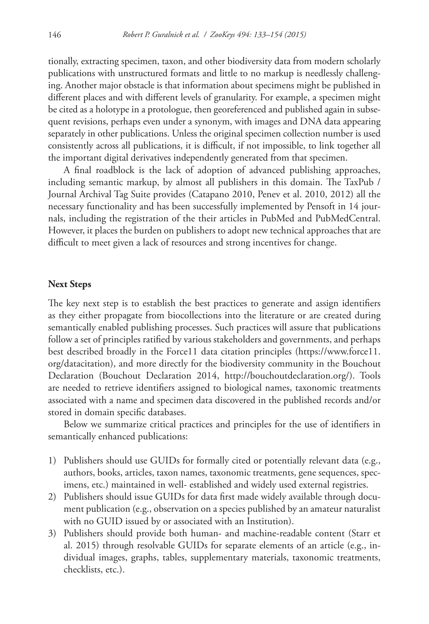tionally, extracting specimen, taxon, and other biodiversity data from modern scholarly publications with unstructured formats and little to no markup is needlessly challenging. Another major obstacle is that information about specimens might be published in different places and with different levels of granularity. For example, a specimen might be cited as a holotype in a protologue, then georeferenced and published again in subsequent revisions, perhaps even under a synonym, with images and DNA data appearing separately in other publications. Unless the original specimen collection number is used consistently across all publications, it is difficult, if not impossible, to link together all the important digital derivatives independently generated from that specimen.

A final roadblock is the lack of adoption of advanced publishing approaches, including semantic markup, by almost all publishers in this domain. The TaxPub / Journal Archival Tag Suite provides (Catapano 2010, Penev et al. 2010, 2012) all the necessary functionality and has been successfully implemented by Pensoft in 14 journals, including the registration of the their articles in PubMed and PubMedCentral. However, it places the burden on publishers to adopt new technical approaches that are difficult to meet given a lack of resources and strong incentives for change.

#### **Next Steps**

The key next step is to establish the best practices to generate and assign identifiers as they either propagate from biocollections into the literature or are created during semantically enabled publishing processes. Such practices will assure that publications follow a set of principles ratified by various stakeholders and governments, and perhaps best described broadly in the Force11 data citation principles [\(https://www.force11.](https://www.force11.org/datacitation) [org/datacitation](https://www.force11.org/datacitation)), and more directly for the biodiversity community in the Bouchout Declaration (Bouchout Declaration 2014, [http://bouchoutdeclaration.org/\)](http://bouchoutdeclaration.org/). Tools are needed to retrieve identifiers assigned to biological names, taxonomic treatments associated with a name and specimen data discovered in the published records and/or stored in domain specific databases.

Below we summarize critical practices and principles for the use of identifiers in semantically enhanced publications:

- 1) Publishers should use GUIDs for formally cited or potentially relevant data (e.g., authors, books, articles, taxon names, taxonomic treatments, gene sequences, specimens, etc.) maintained in well- established and widely used external registries.
- 2) Publishers should issue GUIDs for data first made widely available through document publication (e.g., observation on a species published by an amateur naturalist with no GUID issued by or associated with an Institution).
- 3) Publishers should provide both human- and machine-readable content (Starr et al. 2015) through resolvable GUIDs for separate elements of an article (e.g., individual images, graphs, tables, supplementary materials, taxonomic treatments, checklists, etc.).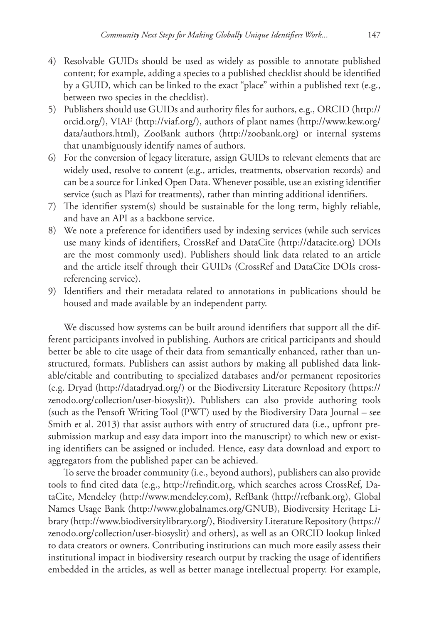- 4) Resolvable GUIDs should be used as widely as possible to annotate published content; for example, adding a species to a published checklist should be identified by a GUID, which can be linked to the exact "place" within a published text (e.g., between two species in the checklist).
- 5) Publishers should use GUIDs and authority files for authors, e.g., ORCID [\(http://](http://orcid.org/) [orcid.org/](http://orcid.org/)), VIAF (<http://viaf.org/>), authors of plant names [\(http://www.kew.org/](http://www.kew.org/data/authors.html) [data/authors.html\)](http://www.kew.org/data/authors.html), ZooBank authors [\(http://zoobank.org\)](http://zoobank.org) or internal systems that unambiguously identify names of authors.
- 6) For the conversion of legacy literature, assign GUIDs to relevant elements that are widely used, resolve to content (e.g., articles, treatments, observation records) and can be a source for Linked Open Data. Whenever possible, use an existing identifier service (such as Plazi for treatments), rather than minting additional identifiers.
- 7) The identifier system(s) should be sustainable for the long term, highly reliable, and have an API as a backbone service.
- 8) We note a preference for identifiers used by indexing services (while such services use many kinds of identifiers, CrossRef and DataCite ([http://datacite.org\)](http://datacite.org) DOIs are the most commonly used). Publishers should link data related to an article and the article itself through their GUIDs (CrossRef and DataCite DOIs crossreferencing service).
- 9) Identifiers and their metadata related to annotations in publications should be housed and made available by an independent party.

We discussed how systems can be built around identifiers that support all the different participants involved in publishing. Authors are critical participants and should better be able to cite usage of their data from semantically enhanced, rather than unstructured, formats. Publishers can assist authors by making all published data linkable/citable and contributing to specialized databases and/or permanent repositories (e.g. Dryad ([http://datadryad.org/\)](http://datadryad.org/) or the Biodiversity Literature Repository ([https://](https://zenodo.org/collection/user-biosyslit) [zenodo.org/collection/user-biosyslit](https://zenodo.org/collection/user-biosyslit))). Publishers can also provide authoring tools (such as the Pensoft Writing Tool (PWT) used by the Biodiversity Data Journal – see Smith et al. 2013) that assist authors with entry of structured data (i.e., upfront presubmission markup and easy data import into the manuscript) to which new or existing identifiers can be assigned or included. Hence, easy data download and export to aggregators from the published paper can be achieved.

To serve the broader community (i.e., beyond authors), publishers can also provide tools to find cited data (e.g., [http://refindit.org,](http://refindit.org) which searches across CrossRef, DataCite, Mendeley (<http://www.mendeley.com>), RefBank ([http://refbank.org\)](http://refbank.org), Global Names Usage Bank [\(http://www.globalnames.org/GNUB](http://www.globalnames.org/GNUB)), Biodiversity Heritage Library [\(http://www.biodiversitylibrary.org/](http://www.biodiversitylibrary.org/)), Biodiversity Literature Repository ([https://](https://%C2%ADzenodo.org/collection/user-biosyslit) [zenodo.org/collection/user-biosyslit](https://%C2%ADzenodo.org/collection/user-biosyslit)) and others), as well as an ORCID lookup linked to data creators or owners. Contributing institutions can much more easily assess their institutional impact in biodiversity research output by tracking the usage of identifiers embedded in the articles, as well as better manage intellectual property. For example,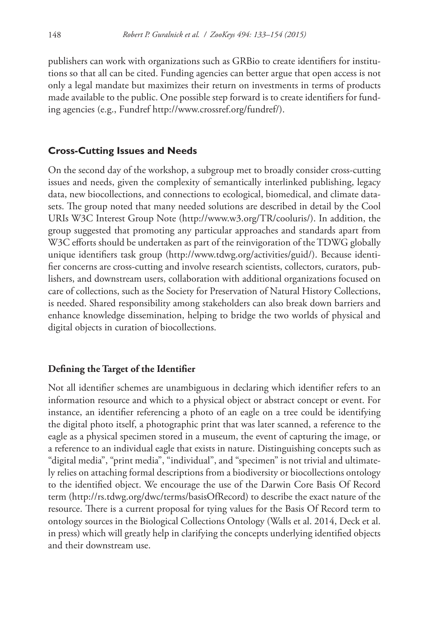publishers can work with organizations such as GRBio to create identifiers for institutions so that all can be cited. Funding agencies can better argue that open access is not only a legal mandate but maximizes their return on investments in terms of products made available to the public. One possible step forward is to create identifiers for funding agencies (e.g., Fundref<http://www.crossref.org/fundref/>).

### **Cross-Cutting Issues and Needs**

On the second day of the workshop, a subgroup met to broadly consider cross-cutting issues and needs, given the complexity of semantically interlinked publishing, legacy data, new biocollections, and connections to ecological, biomedical, and climate datasets. The group noted that many needed solutions are described in detail by the Cool URIs W3C Interest Group Note (<http://www.w3.org/TR/cooluris/>). In addition, the group suggested that promoting any particular approaches and standards apart from W3C efforts should be undertaken as part of the reinvigoration of the TDWG globally unique identifiers task group [\(http://www.tdwg.org/activities/guid/](http://www.tdwg.org/activities/guid/)). Because identifier concerns are cross-cutting and involve research scientists, collectors, curators, publishers, and downstream users, collaboration with additional organizations focused on care of collections, such as the Society for Preservation of Natural History Collections, is needed. Shared responsibility among stakeholders can also break down barriers and enhance knowledge dissemination, helping to bridge the two worlds of physical and digital objects in curation of biocollections.

### **Defining the Target of the Identifier**

Not all identifier schemes are unambiguous in declaring which identifier refers to an information resource and which to a physical object or abstract concept or event. For instance, an identifier referencing a photo of an eagle on a tree could be identifying the digital photo itself, a photographic print that was later scanned, a reference to the eagle as a physical specimen stored in a museum, the event of capturing the image, or a reference to an individual eagle that exists in nature. Distinguishing concepts such as "digital media", "print media", "individual", and "specimen" is not trivial and ultimately relies on attaching formal descriptions from a biodiversity or biocollections ontology to the identified object. We encourage the use of the Darwin Core Basis Of Record term [\(http://rs.tdwg.org/dwc/terms/basisOfRecord\)](http://rs.tdwg.org/dwc/terms/basisOfRecord) to describe the exact nature of the resource. There is a current proposal for tying values for the Basis Of Record term to ontology sources in the Biological Collections Ontology (Walls et al. 2014, Deck et al. in press) which will greatly help in clarifying the concepts underlying identified objects and their downstream use.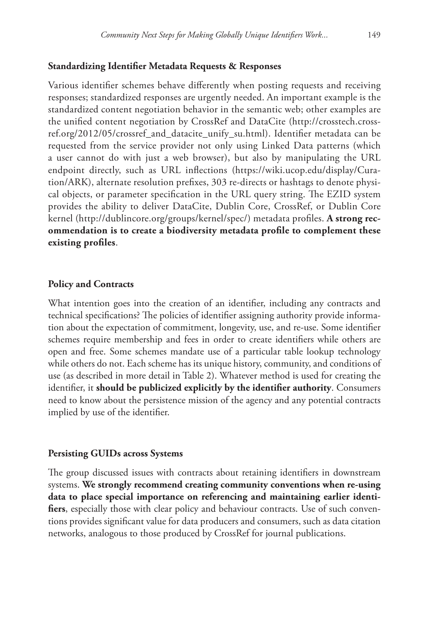### **Standardizing Identifier Metadata Requests & Responses**

Various identifier schemes behave differently when posting requests and receiving responses; standardized responses are urgently needed. An important example is the standardized content negotiation behavior in the semantic web; other examples are the unified content negotiation by CrossRef and DataCite ([http://crosstech.cross](http://crosstech.crossref.org/2012/05/crossref_and_datacite_unify_su.html)[ref.org/2012/05/crossref\\_and\\_datacite\\_unify\\_su.html\)](http://crosstech.crossref.org/2012/05/crossref_and_datacite_unify_su.html). Identifier metadata can be requested from the service provider not only using Linked Data patterns (which a user cannot do with just a web browser), but also by manipulating the URL endpoint directly, such as URL inflections ([https://wiki.ucop.edu/display/Cura](https://wiki.ucop.edu/display/Curation/ARK)[tion/ARK](https://wiki.ucop.edu/display/Curation/ARK)), alternate resolution prefixes, 303 re-directs or hashtags to denote physical objects, or parameter specification in the URL query string. The EZID system provides the ability to deliver DataCite, Dublin Core, CrossRef, or Dublin Core kernel ([http://dublincore.org/groups/kernel/spec/\)](http://dublincore.org/groups/kernel/spec/) metadata profiles. **A strong recommendation is to create a biodiversity metadata profile to complement these existing profiles**.

### **Policy and Contracts**

What intention goes into the creation of an identifier, including any contracts and technical specifications? The policies of identifier assigning authority provide information about the expectation of commitment, longevity, use, and re-use. Some identifier schemes require membership and fees in order to create identifiers while others are open and free. Some schemes mandate use of a particular table lookup technology while others do not. Each scheme has its unique history, community, and conditions of use (as described in more detail in Table 2). Whatever method is used for creating the identifier, it **should be publicized explicitly by the identifier authority**. Consumers need to know about the persistence mission of the agency and any potential contracts implied by use of the identifier.

### **Persisting GUIDs across Systems**

The group discussed issues with contracts about retaining identifiers in downstream systems. **We strongly recommend creating community conventions when re-using data to place special importance on referencing and maintaining earlier identi**fiers, especially those with clear policy and behaviour contracts. Use of such conventions provides significant value for data producers and consumers, such as data citation networks, analogous to those produced by CrossRef for journal publications.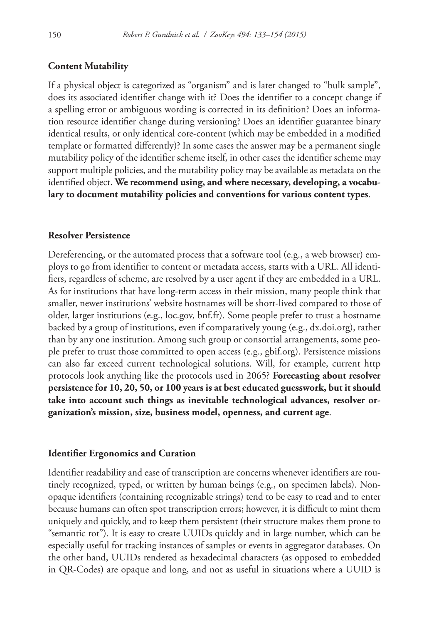### **Content Mutability**

If a physical object is categorized as "organism" and is later changed to "bulk sample", does its associated identifier change with it? Does the identifier to a concept change if a spelling error or ambiguous wording is corrected in its definition? Does an information resource identifier change during versioning? Does an identifier guarantee binary identical results, or only identical core-content (which may be embedded in a modified template or formatted differently)? In some cases the answer may be a permanent single mutability policy of the identifier scheme itself, in other cases the identifier scheme may support multiple policies, and the mutability policy may be available as metadata on the identified object. **We recommend using, and where necessary, developing, a vocabulary to document mutability policies and conventions for various content types**.

#### **Resolver Persistence**

Dereferencing, or the automated process that a software tool (e.g., a web browser) employs to go from identifier to content or metadata access, starts with a URL. All identifiers, regardless of scheme, are resolved by a user agent if they are embedded in a URL. As for institutions that have long-term access in their mission, many people think that smaller, newer institutions' website hostnames will be short-lived compared to those of older, larger institutions (e.g., [loc.gov,](http://loc.gov) [bnf.fr](http://bnf.fr)). Some people prefer to trust a hostname backed by a group of institutions, even if comparatively young (e.g., [dx.doi.org\)](http://dx.doi.org), rather than by any one institution. Among such group or consortial arrangements, some people prefer to trust those committed to open access (e.g., [gbif.org\)](http://gbif.org). Persistence missions can also far exceed current technological solutions. Will, for example, current http protocols look anything like the protocols used in 2065? **Forecasting about resolver persistence for 10, 20, 50, or 100 years is at best educated guesswork, but it should take into account such things as inevitable technological advances, resolver organization's mission, size, business model, openness, and current age**.

### **Identifier Ergonomics and Curation**

Identifier readability and ease of transcription are concerns whenever identifiers are routinely recognized, typed, or written by human beings (e.g., on specimen labels). Nonopaque identifiers (containing recognizable strings) tend to be easy to read and to enter because humans can often spot transcription errors; however, it is difficult to mint them uniquely and quickly, and to keep them persistent (their structure makes them prone to "semantic rot"). It is easy to create UUIDs quickly and in large number, which can be especially useful for tracking instances of samples or events in aggregator databases. On the other hand, UUIDs rendered as hexadecimal characters (as opposed to embedded in QR-Codes) are opaque and long, and not as useful in situations where a UUID is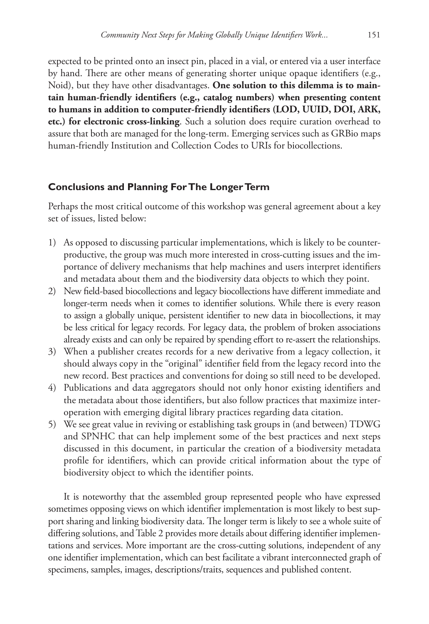expected to be printed onto an insect pin, placed in a vial, or entered via a user interface by hand. There are other means of generating shorter unique opaque identifiers (e.g., Noid), but they have other disadvantages. **One solution to this dilemma is to maintain human-friendly identifiers (e.g., catalog numbers) when presenting content to humans in addition to computer-friendly identifiers (LOD, UUID, DOI, ARK, etc.) for electronic cross-linking**. Such a solution does require curation overhead to assure that both are managed for the long-term. Emerging services such as GRBio maps human-friendly Institution and Collection Codes to URIs for biocollections.

### **Conclusions and Planning For The Longer Term**

Perhaps the most critical outcome of this workshop was general agreement about a key set of issues, listed below:

- 1) As opposed to discussing particular implementations, which is likely to be counterproductive, the group was much more interested in cross-cutting issues and the importance of delivery mechanisms that help machines and users interpret identifiers and metadata about them and the biodiversity data objects to which they point.
- 2) New field-based biocollections and legacy biocollections have different immediate and longer-term needs when it comes to identifier solutions. While there is every reason to assign a globally unique, persistent identifier to new data in biocollections, it may be less critical for legacy records. For legacy data, the problem of broken associations already exists and can only be repaired by spending effort to re-assert the relationships.
- 3) When a publisher creates records for a new derivative from a legacy collection, it should always copy in the "original" identifier field from the legacy record into the new record. Best practices and conventions for doing so still need to be developed.
- 4) Publications and data aggregators should not only honor existing identifiers and the metadata about those identifiers, but also follow practices that maximize interoperation with emerging digital library practices regarding data citation.
- 5) We see great value in reviving or establishing task groups in (and between) TDWG and SPNHC that can help implement some of the best practices and next steps discussed in this document, in particular the creation of a biodiversity metadata profile for identifiers, which can provide critical information about the type of biodiversity object to which the identifier points.

It is noteworthy that the assembled group represented people who have expressed sometimes opposing views on which identifier implementation is most likely to best support sharing and linking biodiversity data. The longer term is likely to see a whole suite of differing solutions, and Table 2 provides more details about differing identifier implementations and services. More important are the cross-cutting solutions, independent of any one identifier implementation, which can best facilitate a vibrant interconnected graph of specimens, samples, images, descriptions/traits, sequences and published content.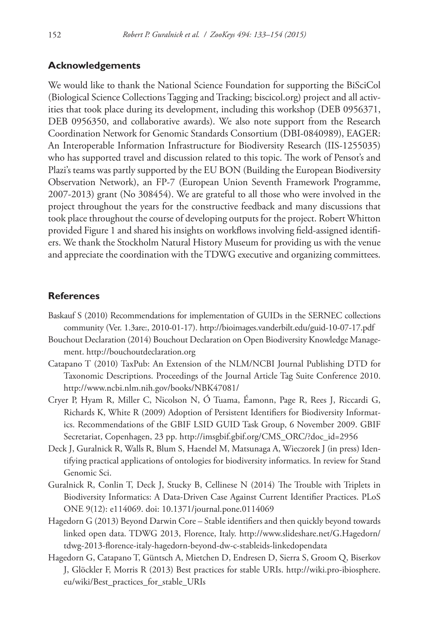### **Acknowledgements**

We would like to thank the National Science Foundation for supporting the BiSciCol (Biological Science Collections Tagging and Tracking; biscicol.org) project and all activities that took place during its development, including this workshop (DEB 0956371, DEB 0956350, and collaborative awards). We also note support from the Research Coordination Network for Genomic Standards Consortium (DBI-0840989), EAGER: An Interoperable Information Infrastructure for Biodiversity Research (IIS-1255035) who has supported travel and discussion related to this topic. The work of Pensot's and Plazi's teams was partly supported by the EU BON (Building the European Biodiversity Observation Network), an FP-7 (European Union Seventh Framework Programme, 2007-2013) grant (No 308454). We are grateful to all those who were involved in the project throughout the years for the constructive feedback and many discussions that took place throughout the course of developing outputs for the project. Robert Whitton provided Figure 1 and shared his insights on workflows involving field-assigned identifiers. We thank the Stockholm Natural History Museum for providing us with the venue and appreciate the coordination with the TDWG executive and organizing committees.

### **References**

- Baskauf S (2010) Recommendations for implementation of GUIDs in the SERNEC collections community (Ver. 1.3are:, 2010-01-17). <http://bioimages.vanderbilt.edu/guid-10-07-17.pdf>
- Bouchout Declaration (2014) Bouchout Declaration on Open Biodiversity Knowledge Management.<http://bouchoutdeclaration.org>
- Catapano T (2010) TaxPub: An Extension of the NLM/NCBI Journal Publishing DTD for Taxonomic Descriptions. Proceedings of the Journal Article Tag Suite Conference 2010. <http://www.ncbi.nlm.nih.gov/books/NBK47081/>
- Cryer P, Hyam R, Miller C, Nicolson N, Ó Tuama, Éamonn, Page R, Rees J, Riccardi G, Richards K, White R (2009) Adoption of Persistent Identifiers for Biodiversity Informatics. Recommendations of the GBIF LSID GUID Task Group, 6 November 2009. GBIF Secretariat, Copenhagen, 23 pp. [http://imsgbif.gbif.org/CMS\\_ORC/?doc\\_id=2956](http://imsgbif.gbif.org/CMS_ORC/?doc_id=2956)
- Deck J, Guralnick R, Walls R, Blum S, Haendel M, Matsunaga A, Wieczorek J (in press) Identifying practical applications of ontologies for biodiversity informatics. In review for Stand Genomic Sci.
- Guralnick R, Conlin T, Deck J, Stucky B, Cellinese N (2014) The Trouble with Triplets in Biodiversity Informatics: A Data-Driven Case Against Current Identifier Practices. PLoS ONE 9(12): e114069. [doi: 10.1371/journal.pone.0114069](http://dx.doi.org/10.1371/journal.pone.0114069)
- Hagedorn G (2013) Beyond Darwin Core Stable identifiers and then quickly beyond towards linked open data. TDWG 2013, Florence, Italy. [http://www.slideshare.net/G.Hagedorn/](http://www.slideshare.net/G.Hagedorn/tdwg-2013-florence-italy-hagedorn-beyond-dw-c-stableids-linkedopendata) [tdwg-2013-florence-italy-hagedorn-beyond-dw-c-stableids-linkedopendata](http://www.slideshare.net/G.Hagedorn/tdwg-2013-florence-italy-hagedorn-beyond-dw-c-stableids-linkedopendata)
- Hagedorn G, Catapano T, Güntsch A, Mietchen D, Endresen D, Sierra S, Groom Q, Biserkov J, Glöckler F, Morris R (2013) Best practices for stable URIs. [http://wiki.pro-ibiosphere.](http://wiki.pro-ibiosphere.eu/wiki/Best_practices_for_stable_URIs) [eu/wiki/Best\\_practices\\_for\\_stable\\_URIs](http://wiki.pro-ibiosphere.eu/wiki/Best_practices_for_stable_URIs)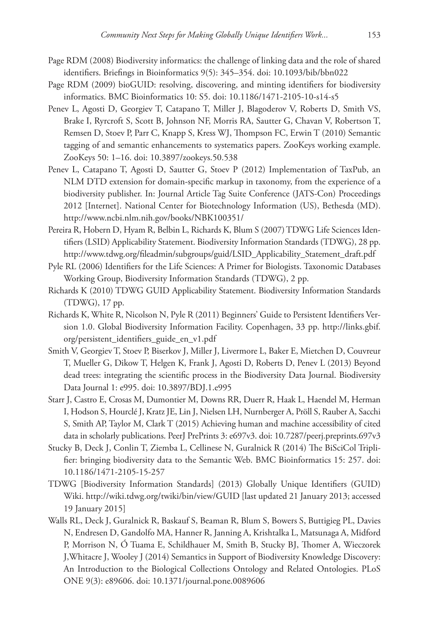- Page RDM (2008) Biodiversity informatics: the challenge of linking data and the role of shared identifiers. Briefings in Bioinformatics 9(5): 345–354. [doi: 10.1093/bib/bbn022](http://dx.doi.org/10.1093/bib/bbn022)
- Page RDM (2009) bioGUID: resolving, discovering, and minting identifiers for biodiversity informatics. BMC Bioinformatics 10: S5. [doi: 10.1186/1471-2105-10-s14-s5](http://dx.doi.org/10.1186/1471-2105-10-s14-s5)
- Penev L, Agosti D, Georgiev T, Catapano T, Miller J, Blagoderov V, Roberts D, Smith VS, Brake I, Ryrcroft S, Scott B, Johnson NF, Morris RA, Sautter G, Chavan V, Robertson T, Remsen D, Stoev P, Parr C, Knapp S, Kress WJ, Thompson FC, Erwin T (2010) Semantic tagging of and semantic enhancements to systematics papers. ZooKeys working example. ZooKeys 50: 1–16. [doi: 10.3897/zookeys.50.538](http://dx.doi.org/10.3897/zookeys.50.538)
- Penev L, Catapano T, Agosti D, Sautter G, Stoev P (2012) Implementation of TaxPub, an NLM DTD extension for domain-specific markup in taxonomy, from the experience of a biodiversity publisher. In: Journal Article Tag Suite Conference (JATS-Con) Proceedings 2012 [Internet]. National Center for Biotechnology Information (US), Bethesda (MD). <http://www.ncbi.nlm.nih.gov/books/NBK100351/>
- Pereira R, Hobern D, Hyam R, Belbin L, Richards K, Blum S (2007) TDWG Life Sciences Identifiers (LSID) Applicability Statement. Biodiversity Information Standards (TDWG), 28 pp. [http://www.tdwg.org/fileadmin/subgroups/guid/LSID\\_Applicability\\_Statement\\_draft.pdf](http://www.tdwg.org/fileadmin/subgroups/guid/LSID_Applicability_Statement_draft.pdf)
- Pyle RL (2006) Identifiers for the Life Sciences: A Primer for Biologists. Taxonomic Databases Working Group, Biodiversity Information Standards (TDWG), 2 pp.
- Richards K (2010) TDWG GUID Applicability Statement. Biodiversity Information Standards (TDWG), 17 pp.
- Richards K, White R, Nicolson N, Pyle R (2011) Beginners' Guide to Persistent Identifiers Version 1.0. Global Biodiversity Information Facility. Copenhagen, 33 pp. [http://links.gbif.](http://links.gbif.org/persistent_identifiers_guide_en_v1.pdf) [org/persistent\\_identifiers\\_guide\\_en\\_v1.pdf](http://links.gbif.org/persistent_identifiers_guide_en_v1.pdf)
- Smith V, Georgiev T, Stoev P, Biserkov J, Miller J, Livermore L, Baker E, Mietchen D, Couvreur T, Mueller G, Dikow T, Helgen K, Frank J, Agosti D, Roberts D, Penev L (2013) Beyond dead trees: integrating the scientific process in the Biodiversity Data Journal. Biodiversity Data Journal 1: e995. [doi: 10.3897/BDJ.1.e995](http://dx.doi.org/10.3897/BDJ.1.e995)
- Starr J, Castro E, Crosas M, Dumontier M, Downs RR, Duerr R, Haak L, Haendel M, Herman I, Hodson S, Hourclé J, Kratz JE, Lin J, Nielsen LH, Nurnberger A, Pröll S, Rauber A, Sacchi S, Smith AP, Taylor M, Clark T (2015) Achieving human and machine accessibility of cited data in scholarly publications. PeerJ PrePrints 3: e697v3. [doi: 10.7287/peerj.preprints.697v3](http://dx.doi.org/10.7287/peerj.preprints.697v3)
- Stucky B, Deck J, Conlin T, Ziemba L, Cellinese N, Guralnick R (2014) The BiSciCol Triplifier: bringing biodiversity data to the Semantic Web. BMC Bioinformatics 15: 257. [doi:](http://dx.doi.org/10.1186/1471-2105-15-257) [10.1186/1471-2105-15-257](http://dx.doi.org/10.1186/1471-2105-15-257)
- TDWG [Biodiversity Information Standards] (2013) Globally Unique Identifiers (GUID) Wiki. <http://wiki.tdwg.org/twiki/bin/view/GUID>[last updated 21 January 2013; accessed 19 January 2015]
- Walls RL, Deck J, Guralnick R, Baskauf S, Beaman R, Blum S, Bowers S, Buttigieg PL, Davies N, Endresen D, Gandolfo MA, Hanner R, Janning A, Krishtalka L, Matsunaga A, Midford P, Morrison N, Ó Tuama E, Schildhauer M, Smith B, Stucky BJ, Thomer A, Wieczorek J,Whitacre J, Wooley J (2014) Semantics in Support of Biodiversity Knowledge Discovery: An Introduction to the Biological Collections Ontology and Related Ontologies. PLoS ONE 9(3): e89606. [doi: 10.1371/journal.pone.0089606](http://dx.doi.org/10.1371/journal.pone.0089606)